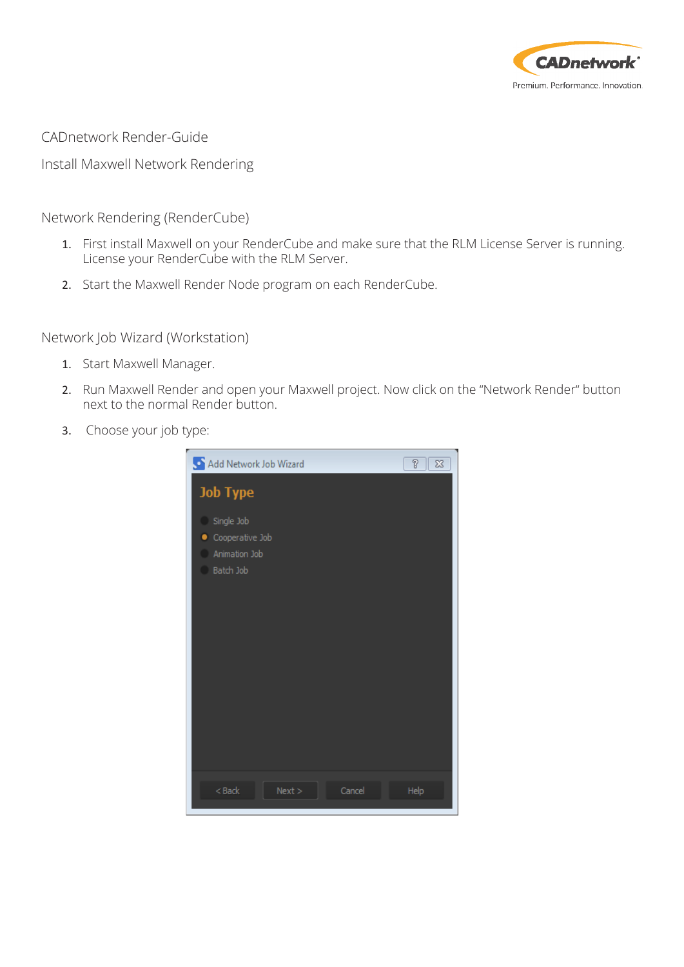

CADnetwork Render-Guide

Install Maxwell Network Rendering

Network Rendering (RenderCube)

- 1. First install Maxwell on your RenderCube and make sure that the RLM License Server is running. License your RenderCube with the RLM Server.
- 2. Start the Maxwell Render Node program on each RenderCube.

Network Job Wizard (Workstation)

- 1. Start Maxwell Manager.
- 2. Run Maxwell Render and open your Maxwell project. Now click on the "Network Render" button next to the normal Render button.
- 3. Choose your job type:

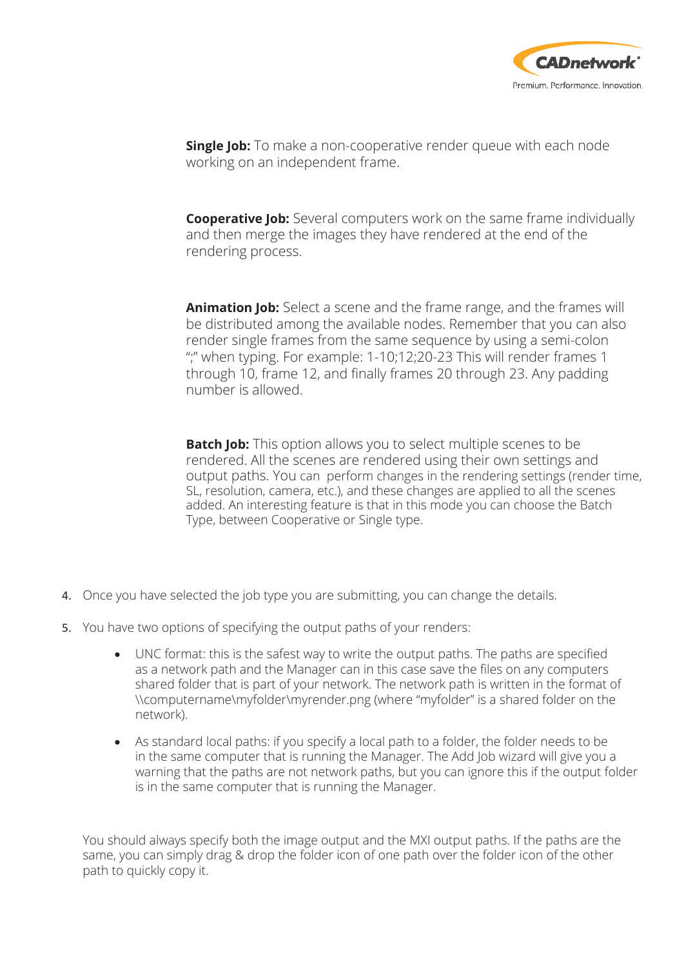

**Single Job:** To make a non-cooperative render queue with each node working on an independent frame.

**Cooperative Job:** Several computers work on the same frame individually and then merge the images they have rendered at the end of the rendering process.

**Animation Job:** Select a scene and the frame range, and the frames will be distributed among the available nodes. Remember that you can also render single frames from the same sequence by using a semi-colon ";" when typing. For example: 1-10;12;20-23 This will render frames 1 through 10, frame 12, and finally frames 20 through 23. Any padding number is allowed.

**Batch Job:** This option allows you to select multiple scenes to be rendered. All the scenes are rendered using their own settings and output paths. You can perform changes in the rendering settings (render time, SL, resolution, camera, etc.), and these changes are applied to all the scenes added. An interesting feature is that in this mode you can choose the Batch Type, between Cooperative or Single type.

- 4. Once you have selected the job type you are submitting, you can change the details.
- 5. You have two options of specifying the output paths of your renders:
	- UNC format: this is the safest way to write the output paths. The paths are specified as a network path and the Manager can in this case save the files on any computers shared folder that is part of your network. The network path is written in the format of \\computername\myfolder\myrender.png (where "myfolder" is a shared folder on the network).
	- As standard local paths: if you specify a local path to a folder, the folder needs to be in the same computer that is running the Manager. The Add Job wizard will give you a warning that the paths are not network paths, but you can ignore this if the output folder is in the same computer that is running the Manager.

You should always specify both the image output and the MXI output paths. If the paths are the same, you can simply drag & drop the folder icon of one path over the folder icon of the other path to quickly copy it.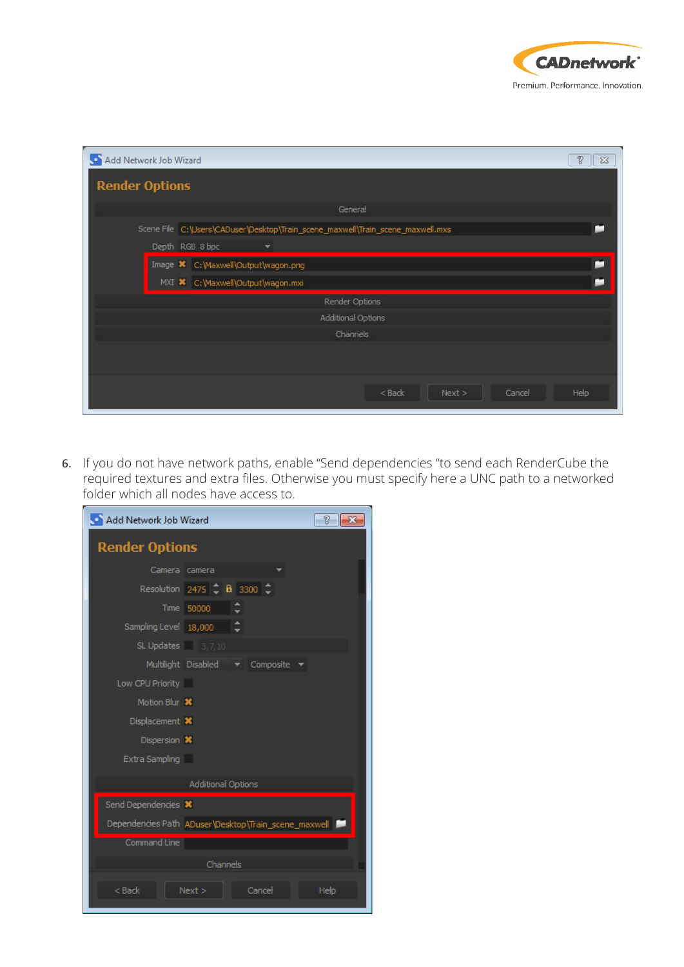

| Add Network Job Wizard    |                |                                                                                 | $\sqrt[3]{2}$<br>$\Sigma$                                                                                                                                                                                                      |  |  |  |  |  |
|---------------------------|----------------|---------------------------------------------------------------------------------|--------------------------------------------------------------------------------------------------------------------------------------------------------------------------------------------------------------------------------|--|--|--|--|--|
| <b>Render Options</b>     |                |                                                                                 |                                                                                                                                                                                                                                |  |  |  |  |  |
|                           |                | General                                                                         |                                                                                                                                                                                                                                |  |  |  |  |  |
|                           |                | Scene File C:\Users\CADuser\Desktop\Train_scene_maxwell\Train_scene_maxwell.mxs | o and the second second second and responsibilities in the contract of the second second second second second in the second second second second second second second second second second second second second second second  |  |  |  |  |  |
|                           |                | Depth RGB 8 bpc<br>▼                                                            |                                                                                                                                                                                                                                |  |  |  |  |  |
|                           |                | Image X C: Waxwell \Output \wagon.png                                           | o and the second second second second second second second second second second second second second second second second second second second second second second second second second second second second second second se |  |  |  |  |  |
|                           |                | MXI X C: Waxwell \Output \wagon.mxi                                             |                                                                                                                                                                                                                                |  |  |  |  |  |
|                           | Render Options |                                                                                 |                                                                                                                                                                                                                                |  |  |  |  |  |
| <b>Additional Options</b> |                |                                                                                 |                                                                                                                                                                                                                                |  |  |  |  |  |
|                           | Channels       |                                                                                 |                                                                                                                                                                                                                                |  |  |  |  |  |
|                           |                |                                                                                 |                                                                                                                                                                                                                                |  |  |  |  |  |
|                           |                | $<$ Back<br>Next ><br>Cancel                                                    | Help                                                                                                                                                                                                                           |  |  |  |  |  |

6. If you do not have network paths, enable "Send dependencies "to send each RenderCube the required textures and extra files. Otherwise you must specify here a UNC path to a networked folder which all nodes have access to.

| Add Network Job Wizard<br>P<br>$\mathbf{x}$          |  |  |  |  |  |  |  |  |
|------------------------------------------------------|--|--|--|--|--|--|--|--|
| <b>Render Options</b>                                |  |  |  |  |  |  |  |  |
| Camera camera                                        |  |  |  |  |  |  |  |  |
| Resolution 2475 $\hat{=}$ <b>B</b> 3300 $\hat{=}$    |  |  |  |  |  |  |  |  |
| Time 50000                                           |  |  |  |  |  |  |  |  |
| Sampling Level 18,000                                |  |  |  |  |  |  |  |  |
| SL Updates $3,7,10$                                  |  |  |  |  |  |  |  |  |
| Multilight Disabled<br>Composite                     |  |  |  |  |  |  |  |  |
| Low CPU Priority                                     |  |  |  |  |  |  |  |  |
| Motion Blur X                                        |  |  |  |  |  |  |  |  |
| Displacement X                                       |  |  |  |  |  |  |  |  |
| Dispersion X                                         |  |  |  |  |  |  |  |  |
| Extra Sampling                                       |  |  |  |  |  |  |  |  |
| Additional Options                                   |  |  |  |  |  |  |  |  |
| Send Dependencies X                                  |  |  |  |  |  |  |  |  |
| Dependencies Path ADuser\Desktop\Train_scene_maxwell |  |  |  |  |  |  |  |  |
| <b>Command Line</b>                                  |  |  |  |  |  |  |  |  |
| Channels                                             |  |  |  |  |  |  |  |  |
| $Back$<br>Next<br>Cancel<br>Help                     |  |  |  |  |  |  |  |  |